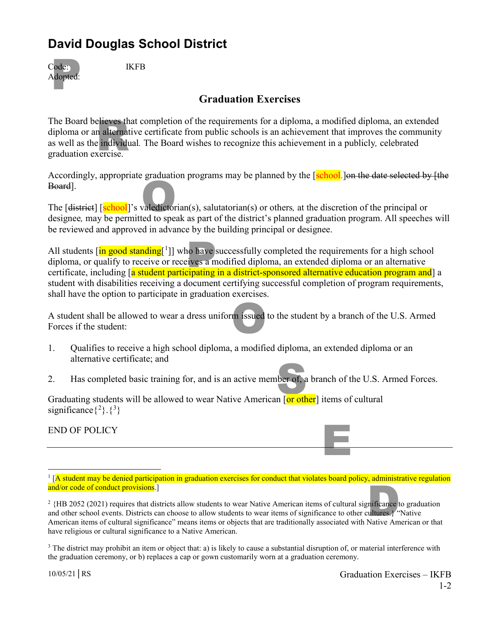## **David Douglas School District**

| Code:<br>Adopted: |
|-------------------|
|-------------------|

**IKFB** 

## **Graduation Exercises**

elieves th<br>n alternat<br>e individu<br>xercise. The Board believes that completion of the requirements for a diploma, a modified diploma, an extended diploma or an alternative certificate from public schools is an achievement that improves the community as well as the individual*.* The Board wishes to recognize this achievement in a publicly*,* celebrated graduation exercise.

Accordingly, appropriate graduation programs may be planned by the [school.] on the date selected by [the Board].

valedictor The [district] [school]'s valedictorian(s), salutatorian(s) or others*,* at the discretion of the principal or designee*,* may be permitted to speak as part of the district's planned graduation program. All speeches will be reviewed and approved in advance by the building principal or designee.

no have<br>eives a m<br>cipating All students [in good standing[<sup>[1](#page-0-0)</sup>]] who have successfully completed the requirements for a high school diploma, or qualify to receive or receives a modified diploma, an extended diploma or an alternative certificate, including [a student participating in a district-sponsored alternative education program and] a student with disabilities receiving a document certifying successful completion of program requirements, shall have the option to participate in graduation exercises.

m issued A student shall be allowed to wear a dress uniform issued to the student by a branch of the U.S. Armed Forces if the student:

- 1. Qualifies to receive a high school diploma, a modified diploma, an extended diploma or an alternative certificate; and
- ber of, a<br>n [or oth 2. Has completed basic training for, and is an active member of, a branch of the U.S. Armed Forces.

Graduating students will be allowed to wear Native American [or other] items of cultural significance $\{^{2}\}$  $\{^{2}\}$  $\{^{2}\}$ . $\{^{3}\}$  $\{^{3}\}$  $\{^{3}\}$ 

END OF POLICY

E

<span id="page-0-0"></span> $1$  [A student may be denied participation in graduation exercises for conduct that violates board policy, administrative regulation and/or code of conduct provisions.]

<span id="page-0-1"></span>mificance<br>
ultures.}<br>Native Am  $2\{HB\,2052\}(2021)$  requires that districts allow students to wear Native American items of cultural significance to graduation and other school events. Districts can choose to allow students to wear items of significance to other cultures.} "Native American items of cultural significance" means items or objects that are traditionally associated with Native American or that have religious or cultural significance to a Native American.

<span id="page-0-2"></span> $3$  The district may prohibit an item or object that: a) is likely to cause a substantial disruption of, or material interference with the graduation ceremony, or b) replaces a cap or gown customarily worn at a graduation ceremony.